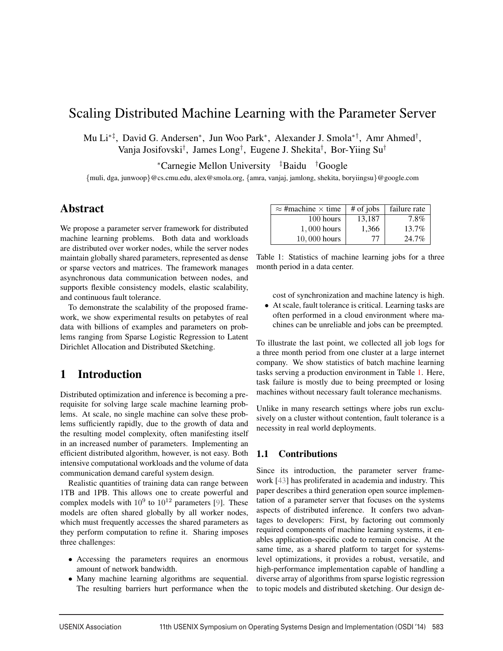# Scaling Distributed Machine Learning with the Parameter Server

Mu Li∗‡, David G. Andersen∗, Jun Woo Park∗, Alexander J. Smola∗†, Amr Ahmed† , Vanja Josifovski† , James Long† , Eugene J. Shekita† , Bor-Yiing Su†

<sup>∗</sup>Carnegie Mellon University ‡ Baidu † Google

{muli, dga, junwoop}@cs.cmu.edu, alex@smola.org, {amra, vanjaj, jamlong, shekita, boryiingsu}@google.com

## Abstract

We propose a parameter server framework for distributed machine learning problems. Both data and workloads are distributed over worker nodes, while the server nodes maintain globally shared parameters, represented as dense or sparse vectors and matrices. The framework manages asynchronous data communication between nodes, and supports flexible consistency models, elastic scalability, and continuous fault tolerance.

To demonstrate the scalability of the proposed framework, we show experimental results on petabytes of real data with billions of examples and parameters on problems ranging from Sparse Logistic Regression to Latent Dirichlet Allocation and Distributed Sketching.

# 1 Introduction

Distributed optimization and inference is becoming a prerequisite for solving large scale machine learning problems. At scale, no single machine can solve these problems sufficiently rapidly, due to the growth of data and the resulting model complexity, often manifesting itself in an increased number of parameters. Implementing an efficient distributed algorithm, however, is not easy. Both intensive computational workloads and the volume of data communication demand careful system design.

Realistic quantities of training data can range between 1TB and 1PB. This allows one to create powerful and complex models with  $10^9$  to  $10^{12}$  parameters [9]. These models are often shared globally by all worker nodes, which must frequently accesses the shared parameters as they perform computation to refine it. Sharing imposes three challenges:

- Accessing the parameters requires an enormous amount of network bandwidth.
- Many machine learning algorithms are sequential. The resulting barriers hurt performance when the

| $\approx$ #machine $\times$ time | $#$ of jobs | failure rate |
|----------------------------------|-------------|--------------|
| 100 hours                        | 13,187      | 7.8%         |
| 1,000 hours                      | 1,366       | 13.7%        |
| 10,000 hours                     | 77          | 24.7%        |

Table 1: Statistics of machine learning jobs for a three month period in a data center.

cost of synchronization and machine latency is high.

• At scale, fault tolerance is critical. Learning tasks are often performed in a cloud environment where machines can be unreliable and jobs can be preempted.

To illustrate the last point, we collected all job logs for a three month period from one cluster at a large internet company. We show statistics of batch machine learning tasks serving a production environment in Table 1. Here, task failure is mostly due to being preempted or losing machines without necessary fault tolerance mechanisms.

Unlike in many research settings where jobs run exclusively on a cluster without contention, fault tolerance is a necessity in real world deployments.

## 1.1 Contributions

Since its introduction, the parameter server framework [43] has proliferated in academia and industry. This paper describes a third generation open source implementation of a parameter server that focuses on the systems aspects of distributed inference. It confers two advantages to developers: First, by factoring out commonly required components of machine learning systems, it enables application-specific code to remain concise. At the same time, as a shared platform to target for systemslevel optimizations, it provides a robust, versatile, and high-performance implementation capable of handling a diverse array of algorithms from sparse logistic regression to topic models and distributed sketching. Our design de-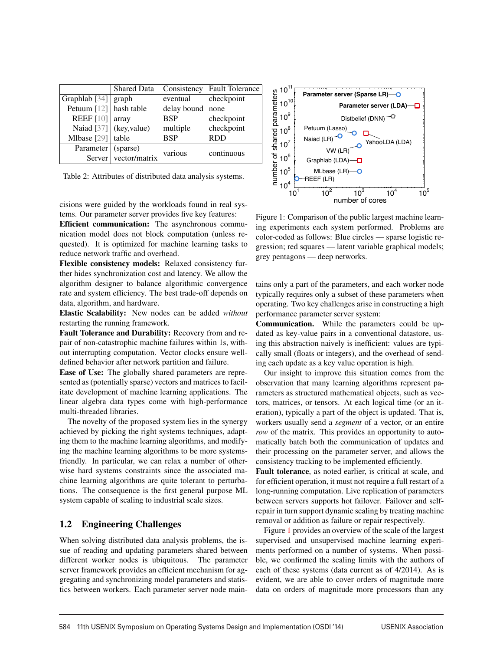|                        | <b>Shared Data</b>      | Consistency      | <b>Fault Tolerance</b> |
|------------------------|-------------------------|------------------|------------------------|
| Graphlab [34]   graph  |                         | eventual         | checkpoint             |
| Petuum [12] hash table |                         | delay bound none |                        |
| <b>REEF</b> [10]       | array                   | <b>BSP</b>       | checkpoint             |
|                        | Naiad [37] (key, value) | multiple         | checkpoint             |
| Mlbase $[29]$          | table                   | <b>BSP</b>       | <b>RDD</b>             |
| Parameter              | (sparse)                | various          | continuous             |
| Server                 | vector/matrix           |                  |                        |

Table 2: Attributes of distributed data analysis systems.

cisions were guided by the workloads found in real systems. Our parameter server provides five key features:

Efficient communication: The asynchronous communication model does not block computation (unless requested). It is optimized for machine learning tasks to reduce network traffic and overhead.

Flexible consistency models: Relaxed consistency further hides synchronization cost and latency. We allow the algorithm designer to balance algorithmic convergence rate and system efficiency. The best trade-off depends on data, algorithm, and hardware.

Elastic Scalability: New nodes can be added *without* restarting the running framework.

Fault Tolerance and Durability: Recovery from and repair of non-catastrophic machine failures within 1s, without interrupting computation. Vector clocks ensure welldefined behavior after network partition and failure.

Ease of Use: The globally shared parameters are represented as (potentially sparse) vectors and matrices to facilitate development of machine learning applications. The linear algebra data types come with high-performance multi-threaded libraries.

The novelty of the proposed system lies in the synergy achieved by picking the right systems techniques, adapting them to the machine learning algorithms, and modifying the machine learning algorithms to be more systemsfriendly. In particular, we can relax a number of otherwise hard systems constraints since the associated machine learning algorithms are quite tolerant to perturbations. The consequence is the first general purpose ML system capable of scaling to industrial scale sizes.

## 1.2 Engineering Challenges

When solving distributed data analysis problems, the issue of reading and updating parameters shared between different worker nodes is ubiquitous. The parameter server framework provides an efficient mechanism for aggregating and synchronizing model parameters and statistics between workers. Each parameter server node main-



Figure 1: Comparison of the public largest machine learning experiments each system performed. Problems are color-coded as follows: Blue circles — sparse logistic regression; red squares — latent variable graphical models; grey pentagons — deep networks.

tains only a part of the parameters, and each worker node typically requires only a subset of these parameters when operating. Two key challenges arise in constructing a high performance parameter server system:

Communication. While the parameters could be updated as key-value pairs in a conventional datastore, using this abstraction naively is inefficient: values are typically small (floats or integers), and the overhead of sending each update as a key value operation is high.

Our insight to improve this situation comes from the observation that many learning algorithms represent parameters as structured mathematical objects, such as vectors, matrices, or tensors. At each logical time (or an iteration), typically a part of the object is updated. That is, workers usually send a *segment* of a vector, or an entire *row* of the matrix. This provides an opportunity to automatically batch both the communication of updates and their processing on the parameter server, and allows the consistency tracking to be implemented efficiently.

Fault tolerance, as noted earlier, is critical at scale, and for efficient operation, it must not require a full restart of a long-running computation. Live replication of parameters between servers supports hot failover. Failover and selfrepair in turn support dynamic scaling by treating machine removal or addition as failure or repair respectively.

Figure 1 provides an overview of the scale of the largest supervised and unsupervised machine learning experiments performed on a number of systems. When possible, we confirmed the scaling limits with the authors of each of these systems (data current as of 4/2014). As is evident, we are able to cover orders of magnitude more data on orders of magnitude more processors than any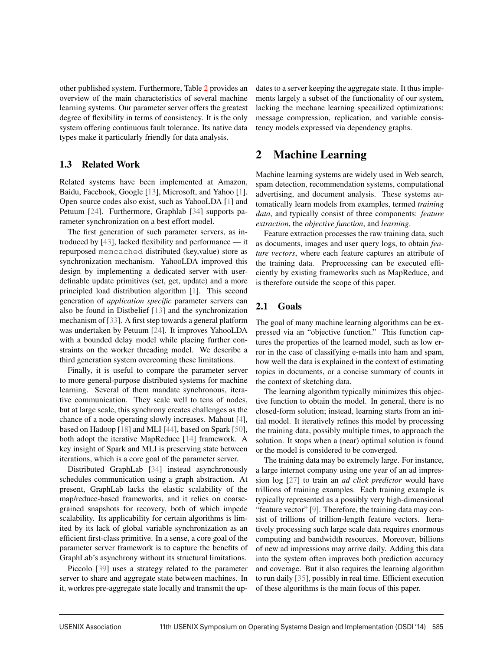other published system. Furthermore, Table 2 provides an overview of the main characteristics of several machine learning systems. Our parameter server offers the greatest degree of flexibility in terms of consistency. It is the only system offering continuous fault tolerance. Its native data types make it particularly friendly for data analysis.

## 1.3 Related Work

Related systems have been implemented at Amazon, Baidu, Facebook, Google [13], Microsoft, and Yahoo [1]. Open source codes also exist, such as YahooLDA [1] and Petuum [24]. Furthermore, Graphlab [34] supports parameter synchronization on a best effort model.

The first generation of such parameter servers, as introduced by [43], lacked flexibility and performance — it repurposed memcached distributed (key,value) store as synchronization mechanism. YahooLDA improved this design by implementing a dedicated server with userdefinable update primitives (set, get, update) and a more principled load distribution algorithm [1]. This second generation of *application specific* parameter servers can also be found in Distbelief [13] and the synchronization mechanism of [33]. A first step towards a general platform was undertaken by Petuum [24]. It improves YahooLDA with a bounded delay model while placing further constraints on the worker threading model. We describe a third generation system overcoming these limitations.

Finally, it is useful to compare the parameter server to more general-purpose distributed systems for machine learning. Several of them mandate synchronous, iterative communication. They scale well to tens of nodes, but at large scale, this synchrony creates challenges as the chance of a node operating slowly increases. Mahout [4], based on Hadoop [18] and MLI [44], based on Spark [50], both adopt the iterative MapReduce [14] framework. A key insight of Spark and MLI is preserving state between iterations, which is a core goal of the parameter server.

Distributed GraphLab [34] instead asynchronously schedules communication using a graph abstraction. At present, GraphLab lacks the elastic scalability of the map/reduce-based frameworks, and it relies on coarsegrained snapshots for recovery, both of which impede scalability. Its applicability for certain algorithms is limited by its lack of global variable synchronization as an efficient first-class primitive. In a sense, a core goal of the parameter server framework is to capture the benefits of GraphLab's asynchrony without its structural limitations.

Piccolo [39] uses a strategy related to the parameter server to share and aggregate state between machines. In it, workres pre-aggregate state locally and transmit the updates to a server keeping the aggregate state. It thus implements largely a subset of the functionality of our system, lacking the mechane learning specailized optimizations: message compression, replication, and variable consistency models expressed via dependency graphs.

# 2 Machine Learning

Machine learning systems are widely used in Web search, spam detection, recommendation systems, computational advertising, and document analysis. These systems automatically learn models from examples, termed *training data*, and typically consist of three components: *feature extraction*, the *objective function*, and *learning*.

Feature extraction processes the raw training data, such as documents, images and user query logs, to obtain *feature vectors*, where each feature captures an attribute of the training data. Preprocessing can be executed efficiently by existing frameworks such as MapReduce, and is therefore outside the scope of this paper.

## 2.1 Goals

The goal of many machine learning algorithms can be expressed via an "objective function." This function captures the properties of the learned model, such as low error in the case of classifying e-mails into ham and spam, how well the data is explained in the context of estimating topics in documents, or a concise summary of counts in the context of sketching data.

The learning algorithm typically minimizes this objective function to obtain the model. In general, there is no closed-form solution; instead, learning starts from an initial model. It iteratively refines this model by processing the training data, possibly multiple times, to approach the solution. It stops when a (near) optimal solution is found or the model is considered to be converged.

The training data may be extremely large. For instance, a large internet company using one year of an ad impression log [27] to train an *ad click predictor* would have trillions of training examples. Each training example is typically represented as a possibly very high-dimensional "feature vector" [9]. Therefore, the training data may consist of trillions of trillion-length feature vectors. Iteratively processing such large scale data requires enormous computing and bandwidth resources. Moreover, billions of new ad impressions may arrive daily. Adding this data into the system often improves both prediction accuracy and coverage. But it also requires the learning algorithm to run daily [35], possibly in real time. Efficient execution of these algorithms is the main focus of this paper.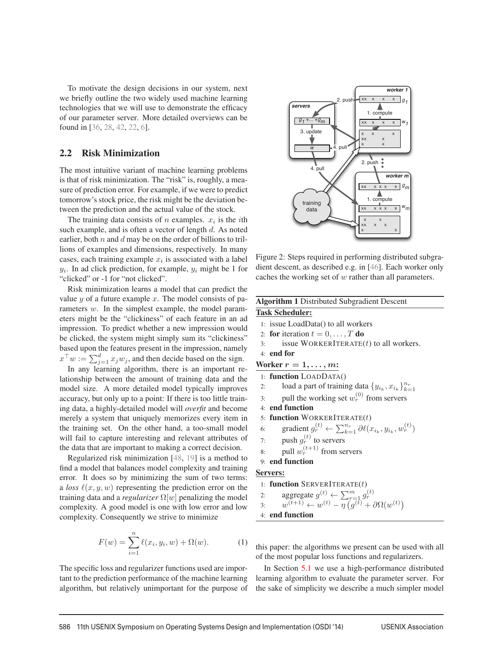To motivate the design decisions in our system, next we briefly outline the two widely used machine learning technologies that we will use to demonstrate the efficacy of our parameter server. More detailed overviews can be found in [36, 28, 42, 22, 6].

## 2.2 Risk Minimization

The most intuitive variant of machine learning problems is that of risk minimization. The "risk" is, roughly, a measure of prediction error. For example, if we were to predict tomorrow's stock price, the risk might be the deviation between the prediction and the actual value of the stock.

The training data consists of *n* examples.  $x_i$  is the *i*th such example, and is often a vector of length d. As noted earlier, both  $n$  and  $d$  may be on the order of billions to trillions of examples and dimensions, respectively. In many cases, each training example  $x_i$  is associated with a label  $y_i$ . In ad click prediction, for example,  $y_i$  might be 1 for "clicked" or -1 for "not clicked".

Risk minimization learns a model that can predict the value  $y$  of a future example  $x$ . The model consists of parameters w. In the simplest example, the model parameters might be the "clickiness" of each feature in an ad impression. To predict whether a new impression would be clicked, the system might simply sum its "clickiness" based upon the features present in the impression, namely  $x^{\top}w := \sum_{j=1}^{d} x_jw_j$ , and then decide based on the sign.

In any learning algorithm, there is an important relationship between the amount of training data and the model size. A more detailed model typically improves accuracy, but only up to a point: If there is too little training data, a highly-detailed model will *overfit* and become merely a system that uniquely memorizes every item in the training set. On the other hand, a too-small model will fail to capture interesting and relevant attributes of the data that are important to making a correct decision.

Regularized risk minimization [48, 19] is a method to find a model that balances model complexity and training error. It does so by minimizing the sum of two terms: a *loss*  $\ell(x, y, w)$  representing the prediction error on the training data and a *regularizer* Ω[w] penalizing the model complexity. A good model is one with low error and low complexity. Consequently we strive to minimize

$$
F(w) = \sum_{i=1}^{n} \ell(x_i, y_i, w) + \Omega(w).
$$
 (1)

The specific loss and regularizer functions used are important to the prediction performance of the machine learning algorithm, but relatively unimportant for the purpose of



Figure 2: Steps required in performing distributed subgradient descent, as described e.g. in [46]. Each worker only caches the working set of w rather than all parameters.

| <b>Algorithm 1 Distributed Subgradient Descent</b>                                                                                                       |
|----------------------------------------------------------------------------------------------------------------------------------------------------------|
| <b>Task Scheduler:</b>                                                                                                                                   |
| 1: issue LoadData() to all workers                                                                                                                       |
| 2: for iteration $t = 0, \ldots, T$ do                                                                                                                   |
| issue WORKERITERATE $(t)$ to all workers.<br>$\mathcal{E}$                                                                                               |
| 4 end for                                                                                                                                                |
| Worker $r = 1, \ldots, m$ :                                                                                                                              |
| 1: function LOADDATA()                                                                                                                                   |
| load a part of training data $\{y_{i_k}, x_{i_k}\}_{k=1}^{n_r}$<br>2:                                                                                    |
| pull the working set $w_r^{(0)}$ from servers<br>3:                                                                                                      |
| 4: end function                                                                                                                                          |
| 5: function WORKERITERATE $(t)$                                                                                                                          |
| gradient $g_r^{(t)} \leftarrow \sum_{k=1}^{n_r} \partial \ell(x_{i_k}, y_{i_k}, w_r^{(t)})$<br>6:                                                        |
| push $g_r^{(t)}$ to servers<br>7:                                                                                                                        |
| pull $w_r^{(t+1)}$ from servers<br>8:                                                                                                                    |
| $9:$ end function                                                                                                                                        |
| Servers:                                                                                                                                                 |
| 1: function SERVERITERATE $(t)$                                                                                                                          |
| aggregate $g^{(t)} \leftarrow \sum_{r=1}^{m} g_r^{(t)}$<br>$w^{(t+1)} \leftarrow w^{(t)} - \eta \left( g^{(t)} + \partial \Omega(w^{(t)}) \right)$<br>2: |
| 3:                                                                                                                                                       |
| 4: end function                                                                                                                                          |

this paper: the algorithms we present can be used with all of the most popular loss functions and regularizers.

In Section 5.1 we use a high-performance distributed learning algorithm to evaluate the parameter server. For the sake of simplicity we describe a much simpler model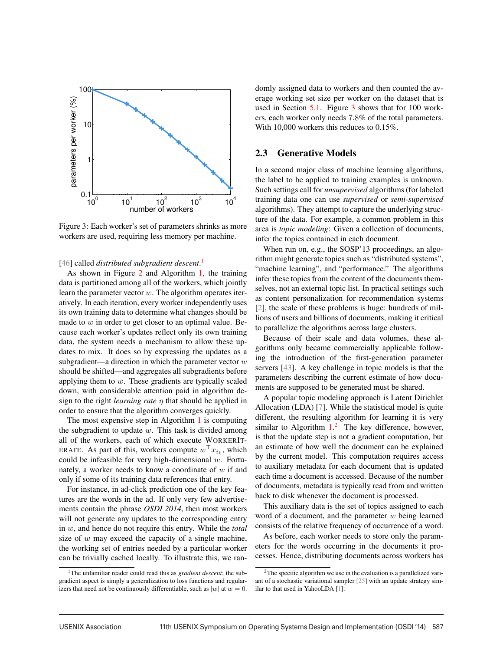

Figure 3: Each worker's set of parameters shrinks as more workers are used, requiring less memory per machine.

### [46] called *distributed subgradient descent*. 1

As shown in Figure 2 and Algorithm 1, the training data is partitioned among all of the workers, which jointly learn the parameter vector w. The algorithm operates iteratively. In each iteration, every worker independently uses its own training data to determine what changes should be made to  $w$  in order to get closer to an optimal value. Because each worker's updates reflect only its own training data, the system needs a mechanism to allow these updates to mix. It does so by expressing the updates as a subgradient—a direction in which the parameter vector  $w$ should be shifted—and aggregates all subgradients before applying them to  $w$ . These gradients are typically scaled down, with considerable attention paid in algorithm design to the right *learning rate* η that should be applied in order to ensure that the algorithm converges quickly.

The most expensive step in Algorithm  $1$  is computing the subgradient to update  $w$ . This task is divided among all of the workers, each of which execute WORKERIT-ERATE. As part of this, workers compute  $w^{\top} x_{i_k}$ , which could be infeasible for very high-dimensional  $w$ . Fortunately, a worker needs to know a coordinate of  $w$  if and only if some of its training data references that entry.

For instance, in ad-click prediction one of the key features are the words in the ad. If only very few advertisements contain the phrase *OSDI 2014*, then most workers will not generate any updates to the corresponding entry in w, and hence do not require this entry. While the *total* size of  $w$  may exceed the capacity of a single machine, the working set of entries needed by a particular worker can be trivially cached locally. To illustrate this, we randomly assigned data to workers and then counted the average working set size per worker on the dataset that is used in Section 5.1. Figure 3 shows that for 100 workers, each worker only needs 7.8% of the total parameters. With 10,000 workers this reduces to 0.15%.

#### 2.3 Generative Models

In a second major class of machine learning algorithms, the label to be applied to training examples is unknown. Such settings call for *unsupervised* algorithms (for labeled training data one can use *supervised* or *semi-supervised* algorithms). They attempt to capture the underlying structure of the data. For example, a common problem in this area is *topic modeling*: Given a collection of documents, infer the topics contained in each document.

When run on, e.g., the SOSP'13 proceedings, an algorithm might generate topics such as "distributed systems", "machine learning", and "performance." The algorithms infer these topics from the content of the documents themselves, not an external topic list. In practical settings such as content personalization for recommendation systems [2], the scale of these problems is huge: hundreds of millions of users and billions of documents, making it critical to parallelize the algorithms across large clusters.

Because of their scale and data volumes, these algorithms only became commercially applicable following the introduction of the first-generation parameter servers [43]. A key challenge in topic models is that the parameters describing the current estimate of how documents are supposed to be generated must be shared.

A popular topic modeling approach is Latent Dirichlet Allocation (LDA) [7]. While the statistical model is quite different, the resulting algorithm for learning it is very similar to Algorithm  $1<sup>2</sup>$ . The key difference, however, is that the update step is not a gradient computation, but an estimate of how well the document can be explained by the current model. This computation requires access to auxiliary metadata for each document that is updated each time a document is accessed. Because of the number of documents, metadata is typically read from and written back to disk whenever the document is processed.

This auxiliary data is the set of topics assigned to each word of a document, and the parameter  $w$  being learned consists of the relative frequency of occurrence of a word.

As before, each worker needs to store only the parameters for the words occurring in the documents it processes. Hence, distributing documents across workers has

<sup>&</sup>lt;sup>1</sup>The unfamiliar reader could read this as *gradient descent*; the subgradient aspect is simply a generalization to loss functions and regularizers that need not be continuously differentiable, such as  $|w|$  at  $w = 0$ .

<sup>&</sup>lt;sup>2</sup>The specific algorithm we use in the evaluation is a parallelized variant of a stochastic variational sampler [25] with an update strategy similar to that used in YahooLDA [1].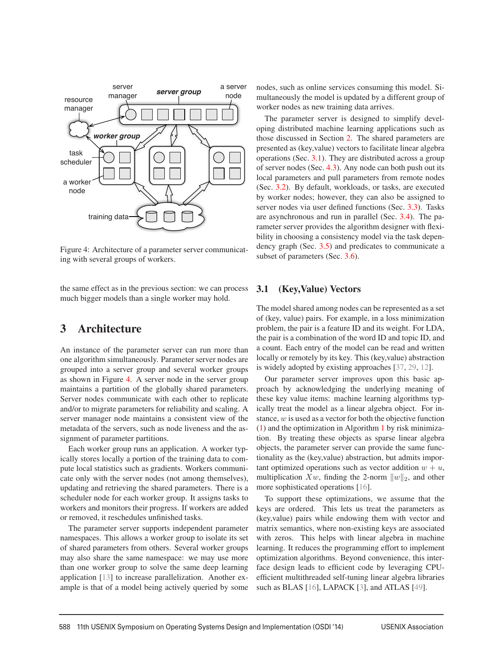

Figure 4: Architecture of a parameter server communicating with several groups of workers.

the same effect as in the previous section: we can process much bigger models than a single worker may hold.

# 3 Architecture

An instance of the parameter server can run more than one algorithm simultaneously. Parameter server nodes are grouped into a server group and several worker groups as shown in Figure 4. A server node in the server group maintains a partition of the globally shared parameters. Server nodes communicate with each other to replicate and/or to migrate parameters for reliability and scaling. A server manager node maintains a consistent view of the metadata of the servers, such as node liveness and the assignment of parameter partitions.

Each worker group runs an application. A worker typically stores locally a portion of the training data to compute local statistics such as gradients. Workers communicate only with the server nodes (not among themselves), updating and retrieving the shared parameters. There is a scheduler node for each worker group. It assigns tasks to workers and monitors their progress. If workers are added or removed, it reschedules unfinished tasks.

The parameter server supports independent parameter namespaces. This allows a worker group to isolate its set of shared parameters from others. Several worker groups may also share the same namespace: we may use more than one worker group to solve the same deep learning application [13] to increase parallelization. Another example is that of a model being actively queried by some nodes, such as online services consuming this model. Simultaneously the model is updated by a different group of worker nodes as new training data arrives.

The parameter server is designed to simplify developing distributed machine learning applications such as those discussed in Section 2. The shared parameters are presented as (key,value) vectors to facilitate linear algebra operations (Sec. 3.1). They are distributed across a group of server nodes (Sec. 4.3). Any node can both push out its local parameters and pull parameters from remote nodes (Sec. 3.2). By default, workloads, or tasks, are executed by worker nodes; however, they can also be assigned to server nodes via user defined functions (Sec. 3.3). Tasks are asynchronous and run in parallel (Sec. 3.4). The parameter server provides the algorithm designer with flexibility in choosing a consistency model via the task dependency graph (Sec. 3.5) and predicates to communicate a subset of parameters (Sec. 3.6).

### 3.1 (Key,Value) Vectors

The model shared among nodes can be represented as a set of (key, value) pairs. For example, in a loss minimization problem, the pair is a feature ID and its weight. For LDA, the pair is a combination of the word ID and topic ID, and a count. Each entry of the model can be read and written locally or remotely by its key. This (key,value) abstraction is widely adopted by existing approaches [37, 29, 12].

Our parameter server improves upon this basic approach by acknowledging the underlying meaning of these key value items: machine learning algorithms typically treat the model as a linear algebra object. For instance, w is used as a vector for both the objective function (1) and the optimization in Algorithm 1 by risk minimization. By treating these objects as sparse linear algebra objects, the parameter server can provide the same functionality as the (key,value) abstraction, but admits important optimized operations such as vector addition  $w + u$ , multiplication  $Xw$ , finding the 2-norm  $||w||_2$ , and other more sophisticated operations [16].

To support these optimizations, we assume that the keys are ordered. This lets us treat the parameters as (key,value) pairs while endowing them with vector and matrix semantics, where non-existing keys are associated with zeros. This helps with linear algebra in machine learning. It reduces the programming effort to implement optimization algorithms. Beyond convenience, this interface design leads to efficient code by leveraging CPUefficient multithreaded self-tuning linear algebra libraries such as BLAS [16], LAPACK [3], and ATLAS [49].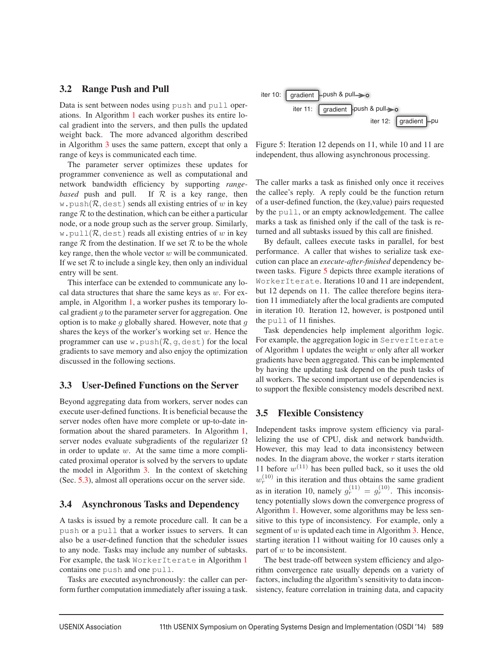### 3.2 Range Push and Pull

Data is sent between nodes using push and pull operations. In Algorithm 1 each worker pushes its entire local gradient into the servers, and then pulls the updated weight back. The more advanced algorithm described in Algorithm 3 uses the same pattern, except that only a range of keys is communicated each time.

The parameter server optimizes these updates for programmer convenience as well as computational and network bandwidth efficiency by supporting *rangebased* push and pull. If  $R$  is a key range, then w.push $(\mathcal{R}, \text{dest})$  sends all existing entries of w in key range  $R$  to the destination, which can be either a particular node, or a node group such as the server group. Similarly, w.pull( $\mathcal{R}$ , dest) reads all existing entries of w in key range  $R$  from the destination. If we set  $R$  to be the whole key range, then the whole vector  $w$  will be communicated. If we set  $R$  to include a single key, then only an individual entry will be sent.

This interface can be extended to communicate any local data structures that share the same keys as  $w$ . For example, in Algorithm 1, a worker pushes its temporary local gradient  $q$  to the parameter server for aggregation. One option is to make  $q$  globally shared. However, note that  $q$ shares the keys of the worker's working set  $w$ . Hence the programmer can use w. push $(R, q, \text{dest})$  for the local gradients to save memory and also enjoy the optimization discussed in the following sections.

### 3.3 User-Defined Functions on the Server

Beyond aggregating data from workers, server nodes can execute user-defined functions. It is beneficial because the server nodes often have more complete or up-to-date information about the shared parameters. In Algorithm 1, server nodes evaluate subgradients of the regularizer  $\Omega$ in order to update  $w$ . At the same time a more complicated proximal operator is solved by the servers to update the model in Algorithm 3. In the context of sketching (Sec. 5.3), almost all operations occur on the server side.

### 3.4 Asynchronous Tasks and Dependency

A tasks is issued by a remote procedure call. It can be a push or a pull that a worker issues to servers. It can also be a user-defined function that the scheduler issues to any node. Tasks may include any number of subtasks. For example, the task WorkerIterate in Algorithm 1 contains one push and one pull.

Tasks are executed asynchronously: the caller can perform further computation immediately after issuing a task.



Figure 5: Iteration 12 depends on 11, while 10 and 11 are independent, thus allowing asynchronous processing.

The caller marks a task as finished only once it receives the callee's reply. A reply could be the function return of a user-defined function, the (key,value) pairs requested by the pull, or an empty acknowledgement. The callee marks a task as finished only if the call of the task is returned and all subtasks issued by this call are finished.

By default, callees execute tasks in parallel, for best performance. A caller that wishes to serialize task execution can place an *execute-after-finished* dependency between tasks. Figure 5 depicts three example iterations of WorkerIterate. Iterations 10 and 11 are independent, but 12 depends on 11. The callee therefore begins iteration 11 immediately after the local gradients are computed in iteration 10. Iteration 12, however, is postponed until the pull of 11 finishes.

Task dependencies help implement algorithm logic. For example, the aggregation logic in ServerIterate of Algorithm 1 updates the weight  $w$  only after all worker gradients have been aggregated. This can be implemented by having the updating task depend on the push tasks of all workers. The second important use of dependencies is to support the flexible consistency models described next.

### 3.5 Flexible Consistency

Independent tasks improve system efficiency via parallelizing the use of CPU, disk and network bandwidth. However, this may lead to data inconsistency between nodes. In the diagram above, the worker  $r$  starts iteration 11 before  $w^{(11)}$  has been pulled back, so it uses the old  $w_r^{(10)}$  in this iteration and thus obtains the same gradient as in iteration 10, namely  $g_r^{(11)} = g_r^{(10)}$ . This inconsistency potentially slows down the convergence progress of Algorithm 1. However, some algorithms may be less sensitive to this type of inconsistency. For example, only a segment of  $w$  is updated each time in Algorithm 3. Hence, starting iteration 11 without waiting for 10 causes only a part of  $w$  to be inconsistent.

The best trade-off between system efficiency and algorithm convergence rate usually depends on a variety of factors, including the algorithm's sensitivity to data inconsistency, feature correlation in training data, and capacity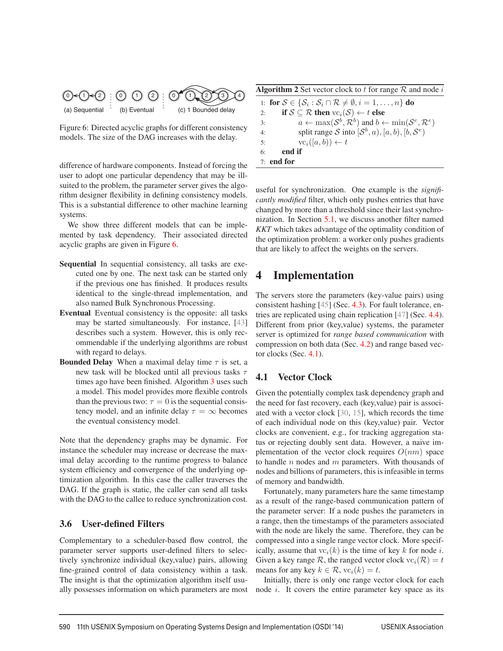

Figure 6: Directed acyclic graphs for different consistency models. The size of the DAG increases with the delay.

difference of hardware components. Instead of forcing the user to adopt one particular dependency that may be illsuited to the problem, the parameter server gives the algorithm designer flexibility in defining consistency models. This is a substantial difference to other machine learning systems.

We show three different models that can be implemented by task dependency. Their associated directed acyclic graphs are given in Figure 6.

- Sequential In sequential consistency, all tasks are executed one by one. The next task can be started only if the previous one has finished. It produces results identical to the single-thread implementation, and also named Bulk Synchronous Processing.
- Eventual Eventual consistency is the opposite: all tasks may be started simultaneously. For instance, [43] describes such a system. However, this is only recommendable if the underlying algorithms are robust with regard to delays.
- **Bounded Delay** When a maximal delay time  $\tau$  is set, a new task will be blocked until all previous tasks  $\tau$ times ago have been finished. Algorithm 3 uses such a model. This model provides more flexible controls than the previous two:  $\tau = 0$  is the sequential consistency model, and an infinite delay  $\tau = \infty$  becomes the eventual consistency model.

Note that the dependency graphs may be dynamic. For instance the scheduler may increase or decrease the maximal delay according to the runtime progress to balance system efficiency and convergence of the underlying optimization algorithm. In this case the caller traverses the DAG. If the graph is static, the caller can send all tasks with the DAG to the callee to reduce synchronization cost.

## 3.6 User-defined Filters

Complementary to a scheduler-based flow control, the parameter server supports user-defined filters to selectively synchronize individual (key,value) pairs, allowing fine-grained control of data consistency within a task. The insight is that the optimization algorithm itself usually possesses information on which parameters are most

**Algorithm 2** Set vector clock to t for range  $\mathcal{R}$  and node i

|    | 1: for $S \in \{S_i : S_i \cap \mathcal{R} \neq \emptyset, i = 1, , n\}$ do                             |
|----|---------------------------------------------------------------------------------------------------------|
| 2: | if $S \subseteq \mathcal{R}$ then $\text{vc}_i(\mathcal{S}) \leftarrow t$ else                          |
| 3: | $a \leftarrow \max(\mathcal{S}^b, \mathcal{R}^b)$ and $b \leftarrow \min(\mathcal{S}^e, \mathcal{R}^e)$ |
| 4: | split range S into $(S^b, a)$ , $[a, b)$ , $[b, S^e]$                                                   |
| 5: | $vc_i([a, b)) \leftarrow t$                                                                             |
| 6: | end if                                                                                                  |
|    | $7:$ end for                                                                                            |

useful for synchronization. One example is the *significantly modified* filter, which only pushes entries that have changed by more than a threshold since their last synchronization. In Section 5.1, we discuss another filter named *KKT* which takes advantage of the optimality condition of the optimization problem: a worker only pushes gradients that are likely to affect the weights on the servers.

# 4 Implementation

The servers store the parameters (key-value pairs) using consistent hashing [45] (Sec. 4.3). For fault tolerance, entries are replicated using chain replication [47] (Sec. 4.4). Different from prior (key,value) systems, the parameter server is optimized for *range based communication* with compression on both data (Sec. 4.2) and range based vector clocks (Sec. 4.1).

## 4.1 Vector Clock

Given the potentially complex task dependency graph and the need for fast recovery, each (key,value) pair is associated with a vector clock [30, 15], which records the time of each individual node on this (key,value) pair. Vector clocks are convenient, e.g., for tracking aggregation status or rejecting doubly sent data. However, a naive implementation of the vector clock requires  $O(nm)$  space to handle  $n$  nodes and  $m$  parameters. With thousands of nodes and billions of parameters, this is infeasible in terms of memory and bandwidth.

Fortunately, many parameters hare the same timestamp as a result of the range-based communication pattern of the parameter server: If a node pushes the parameters in a range, then the timestamps of the parameters associated with the node are likely the same. Therefore, they can be compressed into a single range vector clock. More specifically, assume that  $vc_i(k)$  is the time of key k for node i. Given a key range  $\mathcal R$ , the ranged vector clock  $\text{vc}_i(\mathcal R) = t$ means for any key  $k \in \mathcal{R}$ ,  $vc_i(k) = t$ .

Initially, there is only one range vector clock for each node  $i$ . It covers the entire parameter key space as its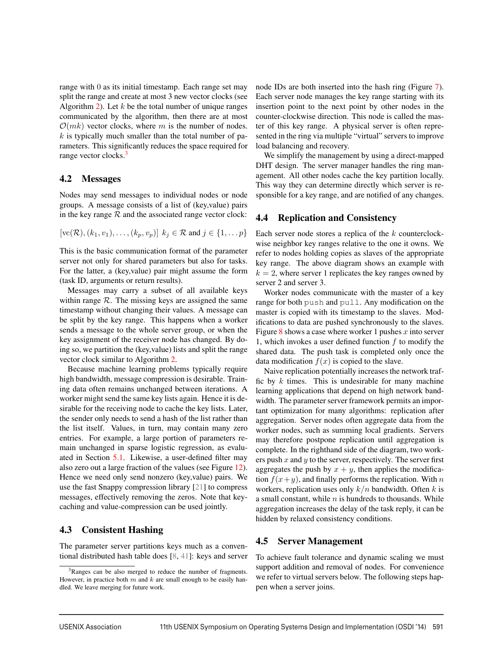range with 0 as its initial timestamp. Each range set may split the range and create at most 3 new vector clocks (see Algorithm 2). Let  $k$  be the total number of unique ranges communicated by the algorithm, then there are at most  $\mathcal{O}(mk)$  vector clocks, where m is the number of nodes.  $k$  is typically much smaller than the total number of parameters. This significantly reduces the space required for range vector clocks.<sup>3</sup>

### 4.2 Messages

Nodes may send messages to individual nodes or node groups. A message consists of a list of (key,value) pairs in the key range  $R$  and the associated range vector clock:

$$
[vc(\mathcal{R}), (k_1, v_1), \dots, (k_p, v_p)] \ k_j \in \mathcal{R} \text{ and } j \in \{1, \dots p\}
$$

This is the basic communication format of the parameter server not only for shared parameters but also for tasks. For the latter, a (key,value) pair might assume the form (task ID, arguments or return results).

Messages may carry a subset of all available keys within range  $R$ . The missing keys are assigned the same timestamp without changing their values. A message can be split by the key range. This happens when a worker sends a message to the whole server group, or when the key assignment of the receiver node has changed. By doing so, we partition the (key,value) lists and split the range vector clock similar to Algorithm 2.

Because machine learning problems typically require high bandwidth, message compression is desirable. Training data often remains unchanged between iterations. A worker might send the same key lists again. Hence it is desirable for the receiving node to cache the key lists. Later, the sender only needs to send a hash of the list rather than the list itself. Values, in turn, may contain many zero entries. For example, a large portion of parameters remain unchanged in sparse logistic regression, as evaluated in Section 5.1. Likewise, a user-defined filter may also zero out a large fraction of the values (see Figure 12). Hence we need only send nonzero (key,value) pairs. We use the fast Snappy compression library [21] to compress messages, effectively removing the zeros. Note that keycaching and value-compression can be used jointly.

### 4.3 Consistent Hashing

The parameter server partitions keys much as a conventional distributed hash table does [8, 41]: keys and server

node IDs are both inserted into the hash ring (Figure 7). Each server node manages the key range starting with its insertion point to the next point by other nodes in the counter-clockwise direction. This node is called the master of this key range. A physical server is often represented in the ring via multiple "virtual" servers to improve load balancing and recovery.

We simplify the management by using a direct-mapped DHT design. The server manager handles the ring management. All other nodes cache the key partition locally. This way they can determine directly which server is responsible for a key range, and are notified of any changes.

### 4.4 Replication and Consistency

Each server node stores a replica of the  $k$  counterclockwise neighbor key ranges relative to the one it owns. We refer to nodes holding copies as slaves of the appropriate key range. The above diagram shows an example with  $k = 2$ , where server 1 replicates the key ranges owned by server 2 and server 3.

Worker nodes communicate with the master of a key range for both push and pull. Any modification on the master is copied with its timestamp to the slaves. Modifications to data are pushed synchronously to the slaves. Figure 8 shows a case where worker 1 pushes  $x$  into server 1, which invokes a user defined function  $f$  to modify the shared data. The push task is completed only once the data modification  $f(x)$  is copied to the slave.

Naive replication potentially increases the network traffic by  $k$  times. This is undesirable for many machine learning applications that depend on high network bandwidth. The parameter server framework permits an important optimization for many algorithms: replication after aggregation. Server nodes often aggregate data from the worker nodes, such as summing local gradients. Servers may therefore postpone replication until aggregation is complete. In the righthand side of the diagram, two workers push  $x$  and  $y$  to the server, respectively. The server first aggregates the push by  $x + y$ , then applies the modification  $f(x+y)$ , and finally performs the replication. With n workers, replication uses only  $k/n$  bandwidth. Often k is a small constant, while  $n$  is hundreds to thousands. While aggregation increases the delay of the task reply, it can be hidden by relaxed consistency conditions.

### 4.5 Server Management

To achieve fault tolerance and dynamic scaling we must support addition and removal of nodes. For convenience we refer to virtual servers below. The following steps happen when a server joins.

<sup>&</sup>lt;sup>3</sup>Ranges can be also merged to reduce the number of fragments. However, in practice both  $m$  and  $k$  are small enough to be easily handled. We leave merging for future work.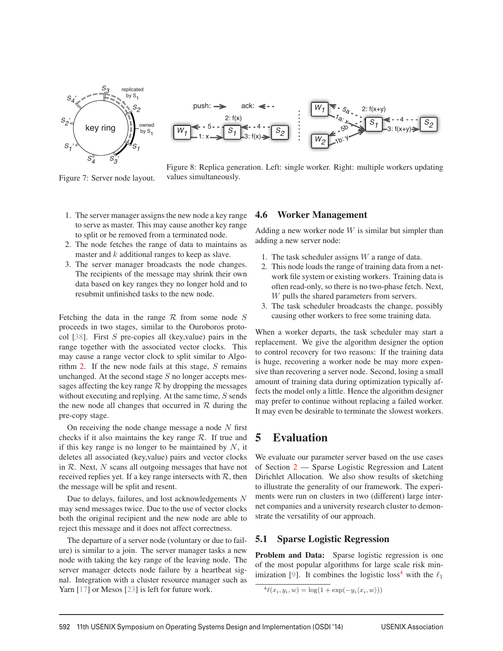

Figure 7: Server node layout.



Figure 8: Replica generation. Left: single worker. Right: multiple workers updating values simultaneously.

- 1. The server manager assigns the new node a key range to serve as master. This may cause another key range to split or be removed from a terminated node.
- 2. The node fetches the range of data to maintains as master and  $k$  additional ranges to keep as slave.
- 3. The server manager broadcasts the node changes. The recipients of the message may shrink their own data based on key ranges they no longer hold and to resubmit unfinished tasks to the new node.

Fetching the data in the range  $R$  from some node  $S$ proceeds in two stages, similar to the Ouroboros protocol [38]. First  $S$  pre-copies all (key, value) pairs in the range together with the associated vector clocks. This may cause a range vector clock to split similar to Algorithm 2. If the new node fails at this stage,  $S$  remains unchanged. At the second stage  $S$  no longer accepts messages affecting the key range  $R$  by dropping the messages without executing and replying. At the same time,  $S$  sends the new node all changes that occurred in  $R$  during the pre-copy stage.

On receiving the node change message a node  $N$  first checks if it also maintains the key range  $R$ . If true and if this key range is no longer to be maintained by  $N$ , it deletes all associated (key,value) pairs and vector clocks in  $R$ . Next,  $N$  scans all outgoing messages that have not received replies yet. If a key range intersects with  $\mathcal{R}$ , then the message will be split and resent.

Due to delays, failures, and lost acknowledgements N may send messages twice. Due to the use of vector clocks both the original recipient and the new node are able to reject this message and it does not affect correctness.

The departure of a server node (voluntary or due to failure) is similar to a join. The server manager tasks a new node with taking the key range of the leaving node. The server manager detects node failure by a heartbeat signal. Integration with a cluster resource manager such as Yarn [17] or Mesos [23] is left for future work.

### 4.6 Worker Management

Adding a new worker node  $W$  is similar but simpler than adding a new server node:

- 1. The task scheduler assigns  $W$  a range of data.
- 2. This node loads the range of training data from a network file system or existing workers. Training data is often read-only, so there is no two-phase fetch. Next, W pulls the shared parameters from servers.
- 3. The task scheduler broadcasts the change, possibly causing other workers to free some training data.

When a worker departs, the task scheduler may start a replacement. We give the algorithm designer the option to control recovery for two reasons: If the training data is huge, recovering a worker node be may more expensive than recovering a server node. Second, losing a small amount of training data during optimization typically affects the model only a little. Hence the algorithm designer may prefer to continue without replacing a failed worker. It may even be desirable to terminate the slowest workers.

# 5 Evaluation

We evaluate our parameter server based on the use cases of Section 2 — Sparse Logistic Regression and Latent Dirichlet Allocation. We also show results of sketching to illustrate the generality of our framework. The experiments were run on clusters in two (different) large internet companies and a university research cluster to demonstrate the versatility of our approach.

### 5.1 Sparse Logistic Regression

Problem and Data: Sparse logistic regression is one of the most popular algorithms for large scale risk minimization [9]. It combines the logistic loss<sup>4</sup> with the  $\ell_1$ 

```
\frac{4\ell(x_i, y_i, w) = \log(1 + \exp(-y_i \langle x_i, w \rangle))}{\ell(\mathbf{x}_i, \mathbf{w})}
```
 $\overline{1}$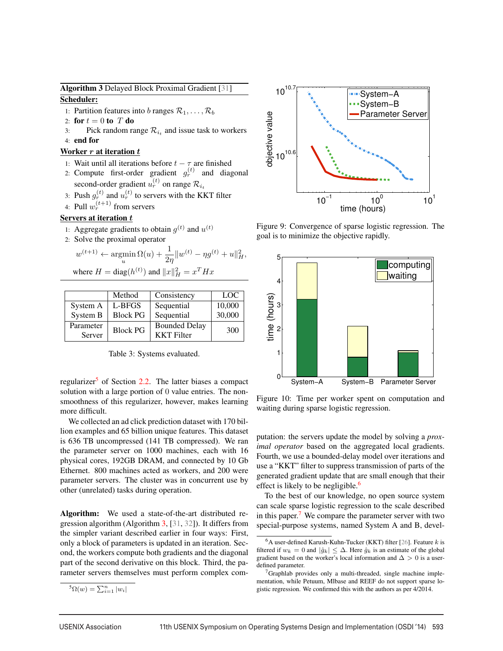Algorithm 3 Delayed Block Proximal Gradient [31] Scheduler:

- 1: Partition features into b ranges  $\mathcal{R}_1, \ldots, \mathcal{R}_b$
- 2: for  $t = 0$  to  $T$  do
- 3: Pick random range  $\mathcal{R}_{i_t}$  and issue task to workers
- 4: end for

### Worker  $r$  at iteration  $t$

- 1: Wait until all iterations before  $t \tau$  are finished
- 2: Compute first-order gradient  $g_r^{(t)}$  and diagonal second-order gradient  $u_r^{(t)}$  on range  $\mathcal{R}_{i_t}$
- 3: Push  $g_r^{(t)}$  and  $u_r^{(t)}$  to servers with the KKT filter
- 4: Pull  $w_r^{(t+1)}$  from servers

### Servers at iteration  $t$

- 1: Aggregate gradients to obtain  $q^{(t)}$  and  $u^{(t)}$
- 2: Solve the proximal operator

$$
w^{(t+1)} \leftarrow \operatorname*{argmin}_{u} \Omega(u) + \frac{1}{2\eta} \|w^{(t)} - \eta g^{(t)} + u\|_{H}^{2},
$$
  
where  $H = \text{diag}(h^{(t)})$  and  $\|x\|_{H}^{2} = x^{T} H x$ 

Method Consistency LOC System A L-BFGS Sequential 10,000 System B Block PG Sequential 30,000 Parameter Block PG Bounded Delay <sup>300</sup> Server KKT Filter

Table 3: Systems evaluated.

regularizer<sup>5</sup> of Section 2.2. The latter biases a compact solution with a large portion of 0 value entries. The nonsmoothness of this regularizer, however, makes learning more difficult.

We collected an ad click prediction dataset with 170 billion examples and 65 billion unique features. This dataset is 636 TB uncompressed (141 TB compressed). We ran the parameter server on 1000 machines, each with 16 physical cores, 192GB DRAM, and connected by 10 Gb Ethernet. 800 machines acted as workers, and 200 were parameter servers. The cluster was in concurrent use by other (unrelated) tasks during operation.

Algorithm: We used a state-of-the-art distributed regression algorithm (Algorithm 3, [31, 32]). It differs from the simpler variant described earlier in four ways: First, only a block of parameters is updated in an iteration. Second, the workers compute both gradients and the diagonal part of the second derivative on this block. Third, the parameter servers themselves must perform complex com-

$$
{}^{5}\Omega(w) = \sum_{i=1}^{n} |w_i|
$$



Figure 9: Convergence of sparse logistic regression. The goal is to minimize the objective rapidly.



Figure 10: Time per worker spent on computation and waiting during sparse logistic regression.

putation: the servers update the model by solving a *proximal operator* based on the aggregated local gradients. Fourth, we use a bounded-delay model over iterations and use a "KKT" filter to suppress transmission of parts of the generated gradient update that are small enough that their effect is likely to be negligible.<sup>6</sup>

To the best of our knowledge, no open source system can scale sparse logistic regression to the scale described in this paper.<sup>7</sup> We compare the parameter server with two special-purpose systems, named System A and B, devel-

 $\overline{1}$ 

 $6A$  user-defined Karush-Kuhn-Tucker (KKT) filter [26]. Feature  $k$  is filtered if  $w_k = 0$  and  $|\hat{g}_k| \leq \Delta$ . Here  $\hat{g}_k$  is an estimate of the global gradient based on the worker's local information and  $\Delta > 0$  is a userdefined parameter.

<sup>&</sup>lt;sup>7</sup>Graphlab provides only a multi-threaded, single machine implementation, while Petuum, Mlbase and REEF do not support sparse logistic regression. We confirmed this with the authors as per 4/2014.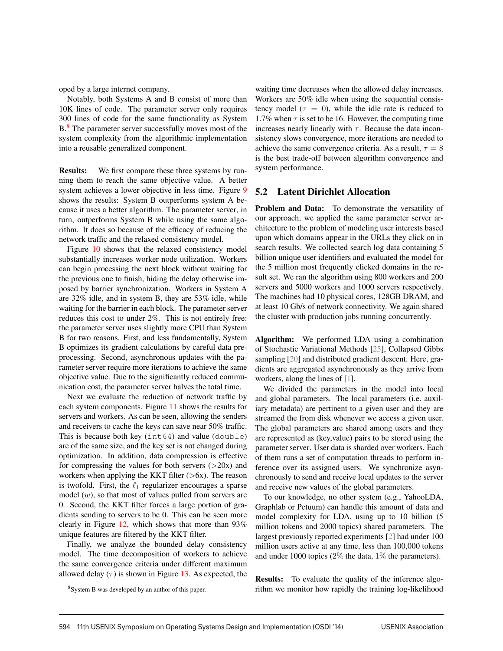oped by a large internet company.

Notably, both Systems A and B consist of more than 10K lines of code. The parameter server only requires 300 lines of code for the same functionality as System B.<sup>8</sup> The parameter server successfully moves most of the system complexity from the algorithmic implementation into a reusable generalized component.

Results: We first compare these three systems by running them to reach the same objective value. A better system achieves a lower objective in less time. Figure 9 shows the results: System B outperforms system A because it uses a better algorithm. The parameter server, in turn, outperforms System B while using the same algorithm. It does so because of the efficacy of reducing the network traffic and the relaxed consistency model.

Figure 10 shows that the relaxed consistency model substantially increases worker node utilization. Workers can begin processing the next block without waiting for the previous one to finish, hiding the delay otherwise imposed by barrier synchronization. Workers in System A are 32% idle, and in system B, they are 53% idle, while waiting for the barrier in each block. The parameter server reduces this cost to under 2%. This is not entirely free: the parameter server uses slightly more CPU than System B for two reasons. First, and less fundamentally, System B optimizes its gradient calculations by careful data preprocessing. Second, asynchronous updates with the parameter server require more iterations to achieve the same objective value. Due to the significantly reduced communication cost, the parameter server halves the total time.

Next we evaluate the reduction of network traffic by each system components. Figure 11 shows the results for servers and workers. As can be seen, allowing the senders and receivers to cache the keys can save near 50% traffic. This is because both key (int64) and value (double) are of the same size, and the key set is not changed during optimization. In addition, data compression is effective for compressing the values for both servers  $(>20x)$  and workers when applying the KKT filter  $(>\,6x)$ . The reason is twofold. First, the  $\ell_1$  regularizer encourages a sparse model  $(w)$ , so that most of values pulled from servers are 0. Second, the KKT filter forces a large portion of gradients sending to servers to be 0. This can be seen more clearly in Figure 12, which shows that more than 93% unique features are filtered by the KKT filter.

Finally, we analyze the bounded delay consistency model. The time decomposition of workers to achieve the same convergence criteria under different maximum allowed delay  $(\tau)$  is shown in Figure 13. As expected, the

8System B was developed by an author of this paper.

waiting time decreases when the allowed delay increases. Workers are 50% idle when using the sequential consistency model ( $\tau = 0$ ), while the idle rate is reduced to 1.7% when  $\tau$  is set to be 16. However, the computing time increases nearly linearly with  $\tau$ . Because the data inconsistency slows convergence, more iterations are needed to achieve the same convergence criteria. As a result,  $\tau = 8$ is the best trade-off between algorithm convergence and system performance.

#### 5.2 Latent Dirichlet Allocation

Problem and Data: To demonstrate the versatility of our approach, we applied the same parameter server architecture to the problem of modeling user interests based upon which domains appear in the URLs they click on in search results. We collected search log data containing 5 billion unique user identifiers and evaluated the model for the 5 million most frequently clicked domains in the result set. We ran the algorithm using 800 workers and 200 servers and 5000 workers and 1000 servers respectively. The machines had 10 physical cores, 128GB DRAM, and at least 10 Gb/s of network connectivity. We again shared the cluster with production jobs running concurrently.

Algorithm: We performed LDA using a combination of Stochastic Variational Methods [25], Collapsed Gibbs sampling [20] and distributed gradient descent. Here, gradients are aggregated asynchronously as they arrive from workers, along the lines of [1].

We divided the parameters in the model into local and global parameters. The local parameters (i.e. auxiliary metadata) are pertinent to a given user and they are streamed the from disk whenever we access a given user. The global parameters are shared among users and they are represented as (key,value) pairs to be stored using the parameter server. User data is sharded over workers. Each of them runs a set of computation threads to perform inference over its assigned users. We synchronize asynchronously to send and receive local updates to the server and receive new values of the global parameters.

To our knowledge, no other system (e.g., YahooLDA, Graphlab or Petuum) can handle this amount of data and model complexity for LDA, using up to 10 billion (5 million tokens and 2000 topics) shared parameters. The largest previously reported experiments [2] had under 100 million users active at any time, less than 100,000 tokens and under 1000 topics (2% the data, 1% the parameters).

Results: To evaluate the quality of the inference algorithm we monitor how rapidly the training log-likelihood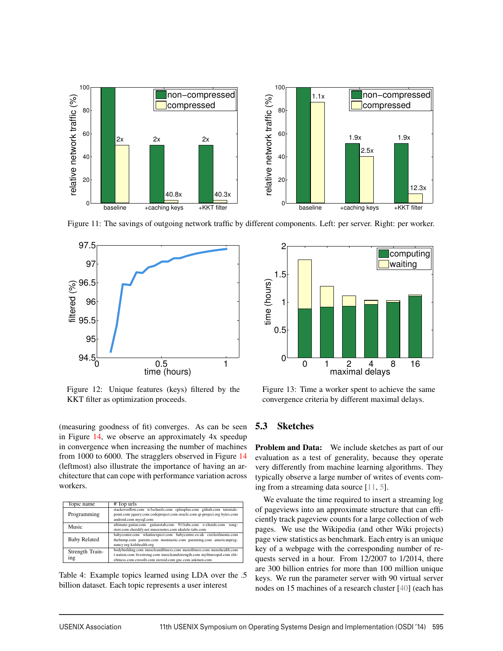

Figure 11: The savings of outgoing network traffic by different components. Left: per server. Right: per worker.



Figure 12: Unique features (keys) filtered by the KKT filter as optimization proceeds.

(measuring goodness of fit) converges. As can be seen in Figure 14, we observe an approximately 4x speedup in convergence when increasing the number of machines from 1000 to 6000. The stragglers observed in Figure 14 (leftmost) also illustrate the importance of having an architecture that can cope with performance variation across workers.

| Topic name             | # Top urls                                                                                                                                                                                                   |  |
|------------------------|--------------------------------------------------------------------------------------------------------------------------------------------------------------------------------------------------------------|--|
| Programming            | stackoverflow.com w3schools.com cplusplus.com github.com tutorials-<br>point.com jquery.com codeproject.com oracle.com qt-project.org bytes.com<br>android.com mysql.com                                     |  |
| Music                  | ultimate-guitar.com guitaretab.com 911tabs.com e-chords.com<br>song-<br>sterr.com chordify.net musicnotes.com ukulele-tabs.com                                                                               |  |
| <b>Baby Related</b>    | babycenter.com whattoexpect.com babycentre.co.uk circleofmoms.com<br>thebump.com parents.com momtastic.com parenting.com americanpreg-<br>nancy.org kidshealth.org                                           |  |
| Strength Train-<br>ing | bodybuilding.com muscleandfitness.com mensfitness.com menshealth.com<br>t-nation.com livestrong.com muscleandstrength.com myfitnesspal.com elit-<br>efitness.com crossfit.com steroid.com gnc.com askmen.com |  |

Table 4: Example topics learned using LDA over the .5 billion dataset. Each topic represents a user interest



Figure 13: Time a worker spent to achieve the same convergence criteria by different maximal delays.

### 5.3 Sketches

Problem and Data: We include sketches as part of our evaluation as a test of generality, because they operate very differently from machine learning algorithms. They typically observe a large number of writes of events coming from a streaming data source [11, 5].

We evaluate the time required to insert a streaming log of pageviews into an approximate structure that can efficiently track pageview counts for a large collection of web pages. We use the Wikipedia (and other Wiki projects) page view statistics as benchmark. Each entry is an unique key of a webpage with the corresponding number of requests served in a hour. From 12/2007 to 1/2014, there are 300 billion entries for more than 100 million unique keys. We run the parameter server with 90 virtual server nodes on 15 machines of a research cluster [40] (each has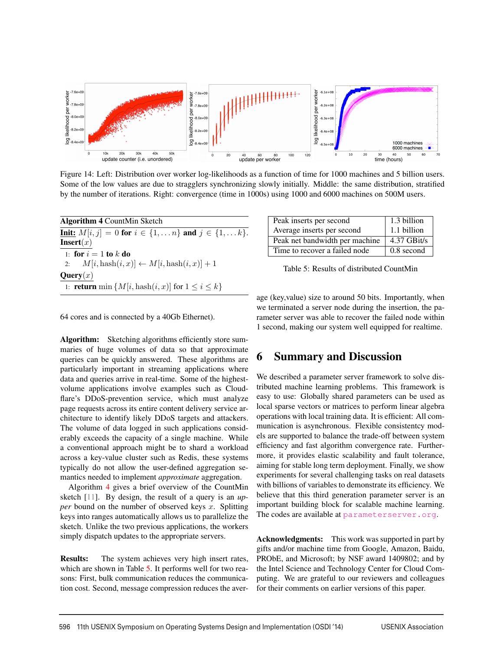

Figure 14: Left: Distribution over worker log-likelihoods as a function of time for 1000 machines and 5 billion users. Some of the low values are due to stragglers synchronizing slowly initially. Middle: the same distribution, stratified by the number of iterations. Right: convergence (time in 1000s) using 1000 and 6000 machines on 500M users.

| <b>Algorithm 4 CountMin Sketch</b>                                         |
|----------------------------------------------------------------------------|
| <b>Init:</b> $M[i, j] = 0$ for $i \in \{1, , n\}$ and $j \in \{1, , k\}$ . |
| <b>Insert</b> $(x)$                                                        |
| 1: for $i=1$ to k do                                                       |
| 2: $M[i, hash(i, x)] \leftarrow M[i, hash(i, x)] + 1$                      |
| <b>Query</b> $(x)$                                                         |
| 1: <b>return</b> min $\{M[i,\text{hash}(i,x)]$ for $1 \leq i \leq k\}$     |

| Peak inserts per second        | 1.3 billion |
|--------------------------------|-------------|
| Average inserts per second     | 1.1 billion |
| Peak net bandwidth per machine | 4.37 GBit/s |
| Time to recover a failed node  | 0.8 second  |

Table 5: Results of distributed CountMin

age (key,value) size to around 50 bits. Importantly, when we terminated a server node during the insertion, the parameter server was able to recover the failed node within 1 second, making our system well equipped for realtime.

## 6 Summary and Discussion

We described a parameter server framework to solve distributed machine learning problems. This framework is easy to use: Globally shared parameters can be used as local sparse vectors or matrices to perform linear algebra operations with local training data. It is efficient: All communication is asynchronous. Flexible consistentcy models are supported to balance the trade-off between system efficiency and fast algorithm convergence rate. Furthermore, it provides elastic scalability and fault tolerance, aiming for stable long term deployment. Finally, we show experiments for several challenging tasks on real datasets with billions of variables to demonstrate its efficiency. We believe that this third generation parameter server is an important building block for scalable machine learning. The codes are available at parameterserver.org.

Acknowledgments: This work was supported in part by gifts and/or machine time from Google, Amazon, Baidu, PRObE, and Microsoft; by NSF award 1409802; and by the Intel Science and Technology Center for Cloud Computing. We are grateful to our reviewers and colleagues for their comments on earlier versions of this paper.

64 cores and is connected by a 40Gb Ethernet).

Algorithm: Sketching algorithms efficiently store summaries of huge volumes of data so that approximate queries can be quickly answered. These algorithms are particularly important in streaming applications where data and queries arrive in real-time. Some of the highestvolume applications involve examples such as Cloudflare's DDoS-prevention service, which must analyze page requests across its entire content delivery service architecture to identify likely DDoS targets and attackers. The volume of data logged in such applications considerably exceeds the capacity of a single machine. While a conventional approach might be to shard a workload across a key-value cluster such as Redis, these systems typically do not allow the user-defined aggregation semantics needed to implement *approximate* aggregation.

Algorithm 4 gives a brief overview of the CountMin sketch [11]. By design, the result of a query is an *upper* bound on the number of observed keys x. Splitting keys into ranges automatically allows us to parallelize the sketch. Unlike the two previous applications, the workers simply dispatch updates to the appropriate servers.

**Results:** The system achieves very high insert rates, which are shown in Table 5. It performs well for two reasons: First, bulk communication reduces the communication cost. Second, message compression reduces the aver-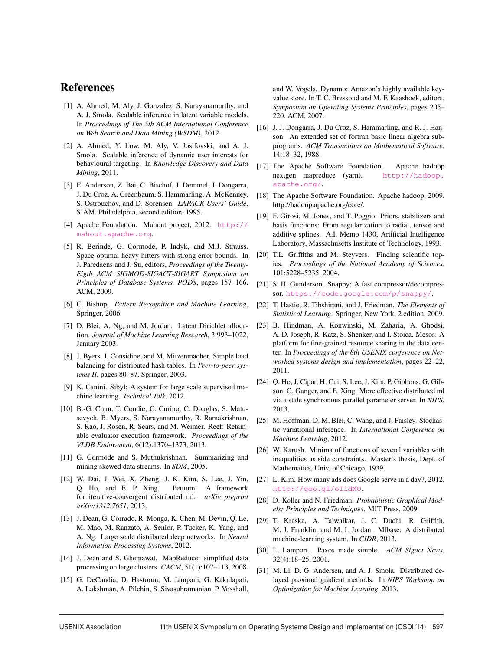## **References**

- [1] A. Ahmed, M. Aly, J. Gonzalez, S. Narayanamurthy, and A. J. Smola. Scalable inference in latent variable models. In *Proceedings of The 5th ACM International Conference on Web Search and Data Mining (WSDM)*, 2012.
- [2] A. Ahmed, Y. Low, M. Aly, V. Josifovski, and A. J. Smola. Scalable inference of dynamic user interests for behavioural targeting. In *Knowledge Discovery and Data Mining*, 2011.
- [3] E. Anderson, Z. Bai, C. Bischof, J. Demmel, J. Dongarra, J. Du Croz, A. Greenbaum, S. Hammarling, A. McKenney, S. Ostrouchov, and D. Sorensen. *LAPACK Users' Guide*. SIAM, Philadelphia, second edition, 1995.
- [4] Apache Foundation. Mahout project, 2012. http:// mahout.apache.org.
- [5] R. Berinde, G. Cormode, P. Indyk, and M.J. Strauss. Space-optimal heavy hitters with strong error bounds. In J. Paredaens and J. Su, editors, *Proceedings of the Twenty-Eigth ACM SIGMOD-SIGACT-SIGART Symposium on Principles of Database Systems, PODS*, pages 157–166. ACM, 2009.
- [6] C. Bishop. *Pattern Recognition and Machine Learning*. Springer, 2006.
- [7] D. Blei, A. Ng, and M. Jordan. Latent Dirichlet allocation. *Journal of Machine Learning Research*, 3:993–1022, January 2003.
- [8] J. Byers, J. Considine, and M. Mitzenmacher. Simple load balancing for distributed hash tables. In *Peer-to-peer systems II*, pages 80–87. Springer, 2003.
- [9] K. Canini. Sibyl: A system for large scale supervised machine learning. *Technical Talk*, 2012.
- [10] B.-G. Chun, T. Condie, C. Curino, C. Douglas, S. Matusevych, B. Myers, S. Narayanamurthy, R. Ramakrishnan, S. Rao, J. Rosen, R. Sears, and M. Weimer. Reef: Retainable evaluator execution framework. *Proceedings of the VLDB Endowment*, 6(12):1370–1373, 2013.
- [11] G. Cormode and S. Muthukrishnan. Summarizing and mining skewed data streams. In *SDM*, 2005.
- [12] W. Dai, J. Wei, X. Zheng, J. K. Kim, S. Lee, J. Yin, Q. Ho, and E. P. Xing. Petuum: A framework for iterative-convergent distributed ml. *arXiv preprint arXiv:1312.7651*, 2013.
- [13] J. Dean, G. Corrado, R. Monga, K. Chen, M. Devin, Q. Le, M. Mao, M. Ranzato, A. Senior, P. Tucker, K. Yang, and A. Ng. Large scale distributed deep networks. In *Neural Information Processing Systems*, 2012.
- [14] J. Dean and S. Ghemawat. MapReduce: simplified data processing on large clusters. *CACM*, 51(1):107–113, 2008.
- [15] G. DeCandia, D. Hastorun, M. Jampani, G. Kakulapati, A. Lakshman, A. Pilchin, S. Sivasubramanian, P. Vosshall,

and W. Vogels. Dynamo: Amazon's highly available keyvalue store. In T. C. Bressoud and M. F. Kaashoek, editors, *Symposium on Operating Systems Principles*, pages 205– 220. ACM, 2007.

- [16] J. J. Dongarra, J. Du Croz, S. Hammarling, and R. J. Hanson. An extended set of fortran basic linear algebra subprograms. *ACM Transactions on Mathematical Software*, 14:18–32, 1988.
- [17] The Apache Software Foundation. Apache hadoop nextgen mapreduce (yarn). http://hadoop. apache.org/.
- [18] The Apache Software Foundation. Apache hadoop, 2009. http://hadoop.apache.org/core/.
- [19] F. Girosi, M. Jones, and T. Poggio. Priors, stabilizers and basis functions: From regularization to radial, tensor and additive splines. A.I. Memo 1430, Artificial Intelligence Laboratory, Massachusetts Institute of Technology, 1993.
- [20] T.L. Griffiths and M. Steyvers. Finding scientific topics. *Proceedings of the National Academy of Sciences*, 101:5228–5235, 2004.
- [21] S. H. Gunderson. Snappy: A fast compressor/decompressor. https://code.google.com/p/snappy/.
- [22] T. Hastie, R. Tibshirani, and J. Friedman. *The Elements of Statistical Learning*. Springer, New York, 2 edition, 2009.
- [23] B. Hindman, A. Konwinski, M. Zaharia, A. Ghodsi, A. D. Joseph, R. Katz, S. Shenker, and I. Stoica. Mesos: A platform for fine-grained resource sharing in the data center. In *Proceedings of the 8th USENIX conference on Networked systems design and implementation*, pages 22–22, 2011.
- [24] Q. Ho, J. Cipar, H. Cui, S. Lee, J. Kim, P. Gibbons, G. Gibson, G. Ganger, and E. Xing. More effective distributed ml via a stale synchronous parallel parameter server. In *NIPS*, 2013.
- [25] M. Hoffman, D. M. Blei, C. Wang, and J. Paisley. Stochastic variational inference. In *International Conference on Machine Learning*, 2012.
- [26] W. Karush. Minima of functions of several variables with inequalities as side constraints. Master's thesis, Dept. of Mathematics, Univ. of Chicago, 1939.
- [27] L. Kim. How many ads does Google serve in a day?, 2012. http://goo.gl/oIidXO.
- [28] D. Koller and N. Friedman. *Probabilistic Graphical Models: Principles and Techniques*. MIT Press, 2009.
- [29] T. Kraska, A. Talwalkar, J. C. Duchi, R. Griffith, M. J. Franklin, and M. I. Jordan. Mlbase: A distributed machine-learning system. In *CIDR*, 2013.
- [30] L. Lamport. Paxos made simple. *ACM Sigact News*, 32(4):18–25, 2001.
- [31] M. Li, D. G. Andersen, and A. J. Smola. Distributed delayed proximal gradient methods. In *NIPS Workshop on Optimization for Machine Learning*, 2013.